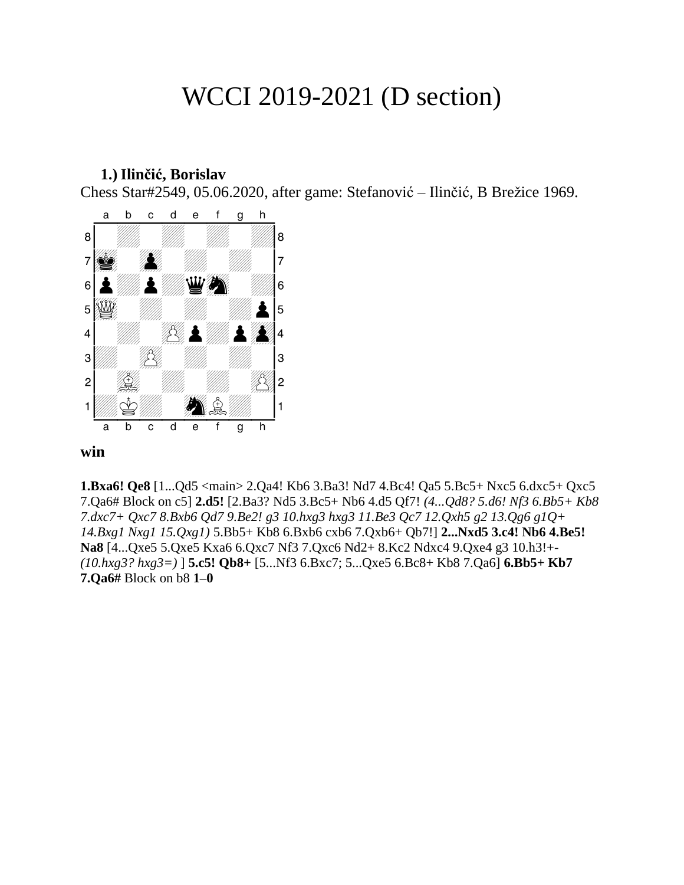# WCCI 2019-2021 (D section)

#### **1.) Ilinčić, Borislav**

Chess Star#2549, 05.06.2020, after game: Stefanović – Ilinčić, B Brežice 1969.



#### **win**

**1.Bxa6! Qe8** [1...Qd5 <main> 2.Qa4! Kb6 3.Ba3! Nd7 4.Bc4! Qa5 5.Bc5+ Nxc5 6.dxc5+ Qxc5 7.Qa6# Block on c5] **2.d5!** [2.Ba3? Nd5 3.Bc5+ Nb6 4.d5 Qf7! *(4...Qd8? 5.d6! Nf3 6.Bb5+ Kb8 7.dxc7+ Qxc7 8.Bxb6 Qd7 9.Be2! g3 10.hxg3 hxg3 11.Be3 Qc7 12.Qxh5 g2 13.Qg6 g1Q+ 14.Bxg1 Nxg1 15.Qxg1)* 5.Bb5+ Kb8 6.Bxb6 cxb6 7.Qxb6+ Qb7!] **2...Nxd5 3.c4! Nb6 4.Be5! Na8** [4...Qxe5 5.Qxe5 Kxa6 6.Qxc7 Nf3 7.Qxc6 Nd2+ 8.Kc2 Ndxc4 9.Qxe4 g3 10.h3!+- *(10.hxg3? hxg3=)* ] **5.c5! Qb8+** [5...Nf3 6.Bxc7; 5...Qxe5 6.Bc8+ Kb8 7.Qa6] **6.Bb5+ Kb7 7.Qa6#** Block on b8 **1–0**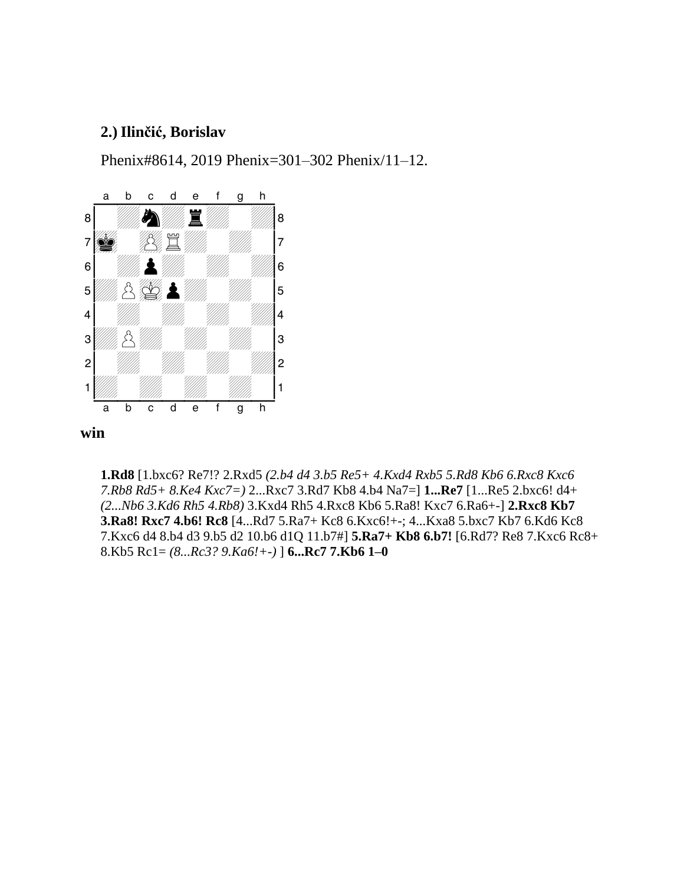### **2.) Ilinčić, Borislav**

Phenix#8614, 2019 Phenix=301–302 Phenix/11–12.



**1.Rd8** [1.bxc6? Re7!? 2.Rxd5 *(2.b4 d4 3.b5 Re5+ 4.Kxd4 Rxb5 5.Rd8 Kb6 6.Rxc8 Kxc6 7.Rb8 Rd5+ 8.Ke4 Kxc7=)* 2...Rxc7 3.Rd7 Kb8 4.b4 Na7=] **1...Re7** [1...Re5 2.bxc6! d4+ *(2...Nb6 3.Kd6 Rh5 4.Rb8)* 3.Kxd4 Rh5 4.Rxc8 Kb6 5.Ra8! Kxc7 6.Ra6+-] **2.Rxc8 Kb7 3.Ra8! Rxc7 4.b6! Rc8** [4...Rd7 5.Ra7+ Kc8 6.Kxc6!+-; 4...Kxa8 5.bxc7 Kb7 6.Kd6 Kc8 7.Kxc6 d4 8.b4 d3 9.b5 d2 10.b6 d1Q 11.b7#] **5.Ra7+ Kb8 6.b7!** [6.Rd7? Re8 7.Kxc6 Rc8+ 8.Kb5 Rc1= *(8...Rc3? 9.Ka6!+-)* ] **6...Rc7 7.Kb6 1–0**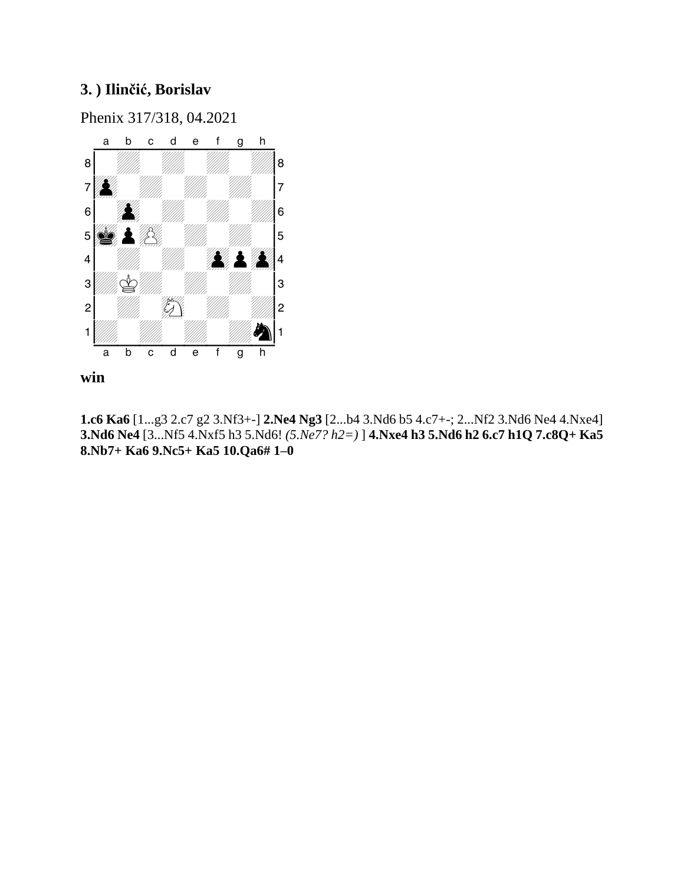# **3. ) Ilinčić, Borislav**

Phenix 317/318, 04.2021



**win**

**1.c6 Ka6** [1...g3 2.c7 g2 3.Nf3+-] **2.Ne4 Ng3** [2...b4 3.Nd6 b5 4.c7+-; 2...Nf2 3.Nd6 Ne4 4.Nxe4] **3.Nd6 Ne4** [3...Nf5 4.Nxf5 h3 5.Nd6! *(5.Ne7? h2=)* ] **4.Nxe4 h3 5.Nd6 h2 6.c7 h1Q 7.c8Q+ Ka5 8.Nb7+ Ka6 9.Nc5+ Ka5 10.Qa6# 1–0**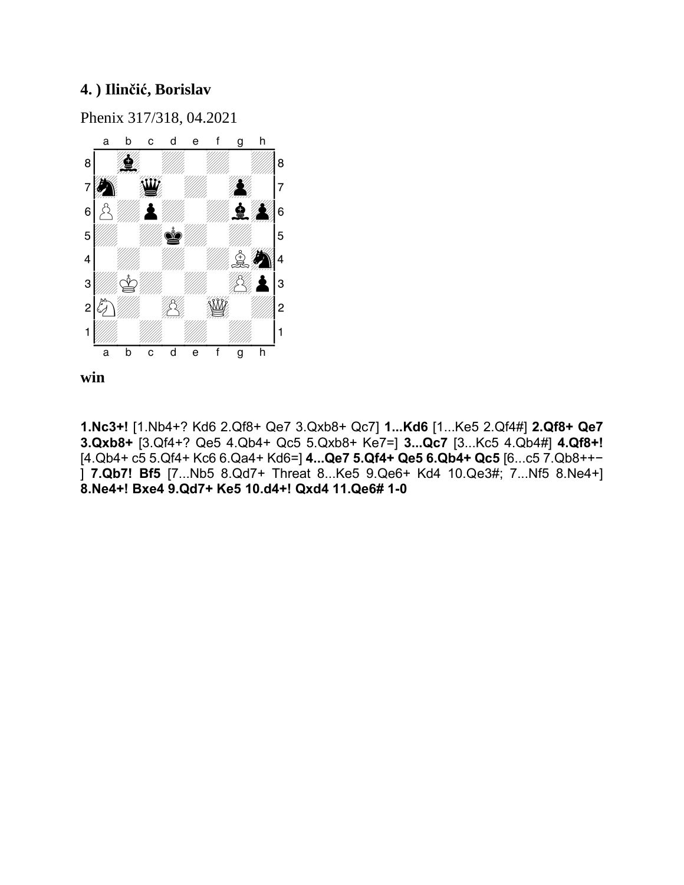# **4. ) Ilinčić, Borislav**

Phenix 317/318, 04.2021





**1.Nc3+!** [1.Nb4+? Kd6 2.Qf8+ Qe7 3.Qxb8+ Qc7] **1...Kd6** [1...Ke5 2.Qf4#] **2.Qf8+ Qe7 3.Qxb8+** [3.Qf4+? Qe5 4.Qb4+ Qc5 5.Qxb8+ Ke7=] **3...Qc7** [3...Kc5 4.Qb4#] **4.Qf8+!**  [4.Qb4+ c5 5.Qf4+ Kc6 6.Qa4+ Kd6=] **4...Qe7 5.Qf4+ Qe5 6.Qb4+ Qc5** [6...c5 7.Qb8++- ] **7.Qb7! Bf5** [7...Nb5 8.Qd7+ Threat 8...Ke5 9.Qe6+ Kd4 10.Qe3#; 7...Nf5 8.Ne4+] **8.Ne4+! Bxe4 9.Qd7+ Ke5 10.d4+! Qxd4 11.Qe6# 1–0**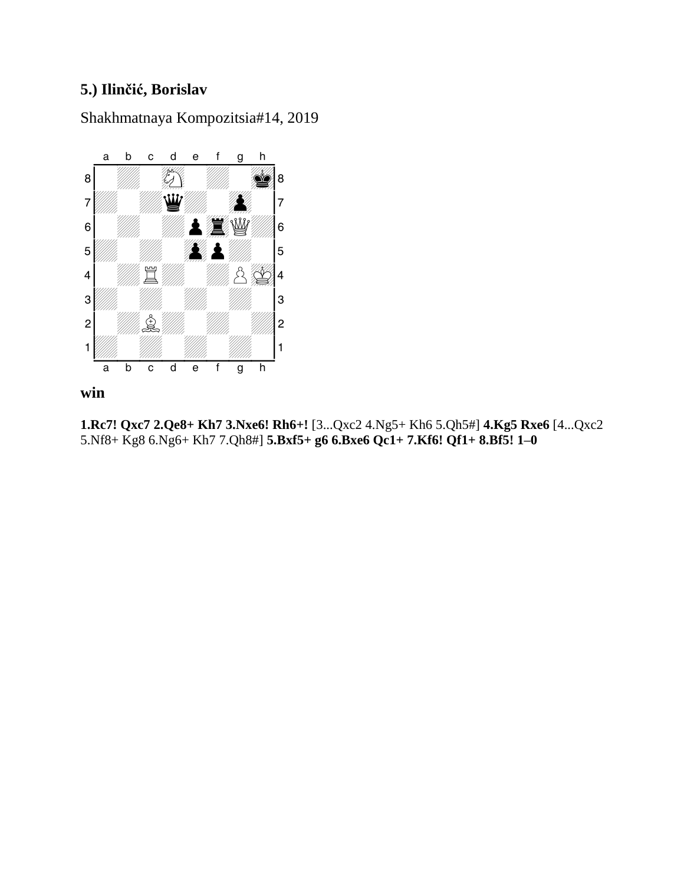# **5.) Ilinčić, Borislav**

Shakhmatnaya Kompozitsia#14, 2019



# **win**

**1.Rc7! Qxc7 2.Qe8+ Kh7 3.Nxe6! Rh6+!** [3...Qxc2 4.Ng5+ Kh6 5.Qh5#] **4.Kg5 Rxe6** [4...Qxc2 5.Nf8+ Kg8 6.Ng6+ Kh7 7.Qh8#] **5.Bxf5+ g6 6.Bxe6 Qc1+ 7.Kf6! Qf1+ 8.Bf5! 1–0**